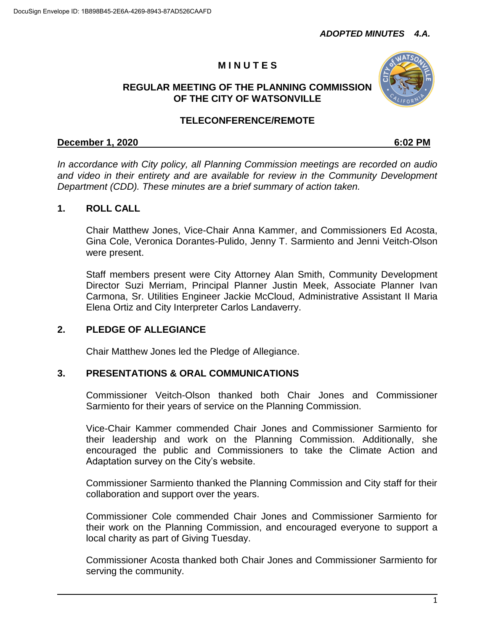# **M I N U T E S**

#### **REGULAR MEETING OF THE PLANNING COMMISSION OF THE CITY OF WATSONVILLE**

#### **TELECONFERENCE/REMOTE**

#### **December 1, 2020 6:02 PM**

*In accordance with City policy, all Planning Commission meetings are recorded on audio and video in their entirety and are available for review in the Community Development Department (CDD). These minutes are a brief summary of action taken.*

#### **1. ROLL CALL**

Chair Matthew Jones, Vice-Chair Anna Kammer, and Commissioners Ed Acosta, Gina Cole, Veronica Dorantes-Pulido, Jenny T. Sarmiento and Jenni Veitch-Olson were present.

Staff members present were City Attorney Alan Smith, Community Development Director Suzi Merriam, Principal Planner Justin Meek, Associate Planner Ivan Carmona, Sr. Utilities Engineer Jackie McCloud, Administrative Assistant II Maria Elena Ortiz and City Interpreter Carlos Landaverry.

#### **2. PLEDGE OF ALLEGIANCE**

Chair Matthew Jones led the Pledge of Allegiance.

#### **3. PRESENTATIONS & ORAL COMMUNICATIONS**

Commissioner Veitch-Olson thanked both Chair Jones and Commissioner Sarmiento for their years of service on the Planning Commission.

Vice-Chair Kammer commended Chair Jones and Commissioner Sarmiento for their leadership and work on the Planning Commission. Additionally, she encouraged the public and Commissioners to take the Climate Action and Adaptation survey on the City's website.

Commissioner Sarmiento thanked the Planning Commission and City staff for their collaboration and support over the years.

Commissioner Cole commended Chair Jones and Commissioner Sarmiento for their work on the Planning Commission, and encouraged everyone to support a local charity as part of Giving Tuesday.

Commissioner Acosta thanked both Chair Jones and Commissioner Sarmiento for serving the community.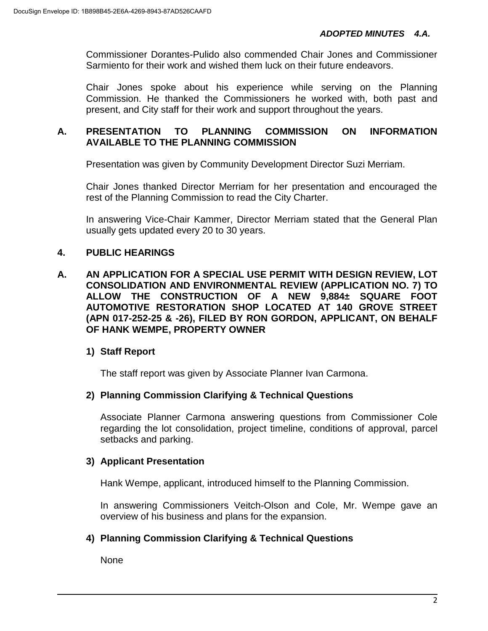Commissioner Dorantes-Pulido also commended Chair Jones and Commissioner Sarmiento for their work and wished them luck on their future endeavors.

Chair Jones spoke about his experience while serving on the Planning Commission. He thanked the Commissioners he worked with, both past and present, and City staff for their work and support throughout the years.

### **A. PRESENTATION TO PLANNING COMMISSION ON INFORMATION AVAILABLE TO THE PLANNING COMMISSION**

Presentation was given by Community Development Director Suzi Merriam.

Chair Jones thanked Director Merriam for her presentation and encouraged the rest of the Planning Commission to read the City Charter.

In answering Vice-Chair Kammer, Director Merriam stated that the General Plan usually gets updated every 20 to 30 years.

## **4. PUBLIC HEARINGS**

**A. AN APPLICATION FOR A SPECIAL USE PERMIT WITH DESIGN REVIEW, LOT CONSOLIDATION AND ENVIRONMENTAL REVIEW (APPLICATION NO. 7) TO ALLOW THE CONSTRUCTION OF A NEW 9,884± SQUARE FOOT AUTOMOTIVE RESTORATION SHOP LOCATED AT 140 GROVE STREET (APN 017-252-25 & -26), FILED BY RON GORDON, APPLICANT, ON BEHALF OF HANK WEMPE, PROPERTY OWNER**

## **1) Staff Report**

The staff report was given by Associate Planner Ivan Carmona.

## **2) Planning Commission Clarifying & Technical Questions**

Associate Planner Carmona answering questions from Commissioner Cole regarding the lot consolidation, project timeline, conditions of approval, parcel setbacks and parking.

## **3) Applicant Presentation**

Hank Wempe, applicant, introduced himself to the Planning Commission.

In answering Commissioners Veitch-Olson and Cole, Mr. Wempe gave an overview of his business and plans for the expansion.

## **4) Planning Commission Clarifying & Technical Questions**

None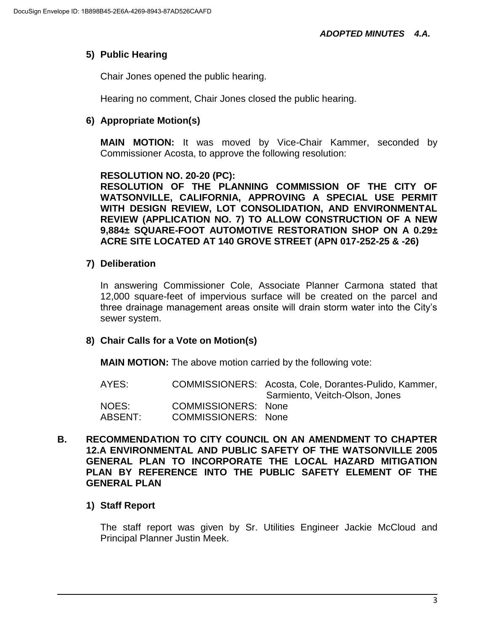## **5) Public Hearing**

Chair Jones opened the public hearing.

Hearing no comment, Chair Jones closed the public hearing.

## **6) Appropriate Motion(s)**

**MAIN MOTION:** It was moved by Vice-Chair Kammer, seconded by Commissioner Acosta, to approve the following resolution:

#### **RESOLUTION NO. 20-20 (PC):**

**RESOLUTION OF THE PLANNING COMMISSION OF THE CITY OF WATSONVILLE, CALIFORNIA, APPROVING A SPECIAL USE PERMIT WITH DESIGN REVIEW, LOT CONSOLIDATION, AND ENVIRONMENTAL REVIEW (APPLICATION NO. 7) TO ALLOW CONSTRUCTION OF A NEW 9,884± SQUARE-FOOT AUTOMOTIVE RESTORATION SHOP ON A 0.29± ACRE SITE LOCATED AT 140 GROVE STREET (APN 017-252-25 & -26)**

### **7) Deliberation**

In answering Commissioner Cole, Associate Planner Carmona stated that 12,000 square-feet of impervious surface will be created on the parcel and three drainage management areas onsite will drain storm water into the City's sewer system.

### **8) Chair Calls for a Vote on Motion(s)**

**MAIN MOTION:** The above motion carried by the following vote:

- AYES: COMMISSIONERS: Acosta, Cole, Dorantes-Pulido, Kammer, Sarmiento, Veitch-Olson, Jones NOES: COMMISSIONERS: None ABSENT: COMMISSIONERS: None
- **B. RECOMMENDATION TO CITY COUNCIL ON AN AMENDMENT TO CHAPTER 12.A ENVIRONMENTAL AND PUBLIC SAFETY OF THE WATSONVILLE 2005 GENERAL PLAN TO INCORPORATE THE LOCAL HAZARD MITIGATION PLAN BY REFERENCE INTO THE PUBLIC SAFETY ELEMENT OF THE GENERAL PLAN**

## **1) Staff Report**

The staff report was given by Sr. Utilities Engineer Jackie McCloud and Principal Planner Justin Meek.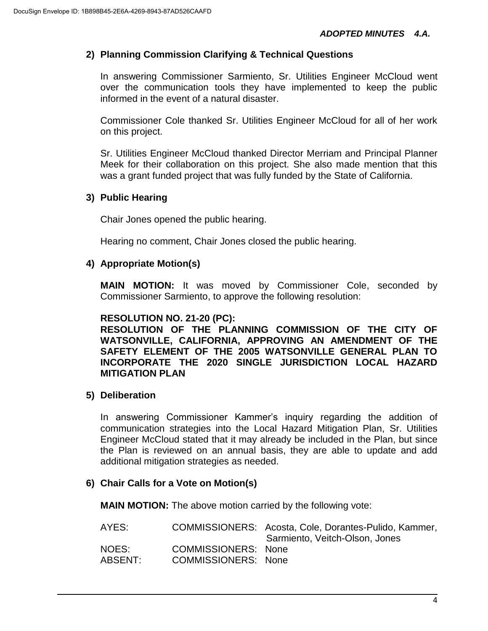### **2) Planning Commission Clarifying & Technical Questions**

In answering Commissioner Sarmiento, Sr. Utilities Engineer McCloud went over the communication tools they have implemented to keep the public informed in the event of a natural disaster.

Commissioner Cole thanked Sr. Utilities Engineer McCloud for all of her work on this project.

Sr. Utilities Engineer McCloud thanked Director Merriam and Principal Planner Meek for their collaboration on this project. She also made mention that this was a grant funded project that was fully funded by the State of California.

### **3) Public Hearing**

Chair Jones opened the public hearing.

Hearing no comment, Chair Jones closed the public hearing.

### **4) Appropriate Motion(s)**

**MAIN MOTION:** It was moved by Commissioner Cole, seconded by Commissioner Sarmiento, to approve the following resolution:

### **RESOLUTION NO. 21-20 (PC):**

**RESOLUTION OF THE PLANNING COMMISSION OF THE CITY OF WATSONVILLE, CALIFORNIA, APPROVING AN AMENDMENT OF THE SAFETY ELEMENT OF THE 2005 WATSONVILLE GENERAL PLAN TO INCORPORATE THE 2020 SINGLE JURISDICTION LOCAL HAZARD MITIGATION PLAN**

### **5) Deliberation**

In answering Commissioner Kammer's inquiry regarding the addition of communication strategies into the Local Hazard Mitigation Plan, Sr. Utilities Engineer McCloud stated that it may already be included in the Plan, but since the Plan is reviewed on an annual basis, they are able to update and add additional mitigation strategies as needed.

### **6) Chair Calls for a Vote on Motion(s)**

**MAIN MOTION:** The above motion carried by the following vote:

| AYES:   |                            | COMMISSIONERS: Acosta, Cole, Dorantes-Pulido, Kammer,<br>Sarmiento, Veitch-Olson, Jones |
|---------|----------------------------|-----------------------------------------------------------------------------------------|
| NOES:   | COMMISSIONERS: None        |                                                                                         |
| ABSENT: | <b>COMMISSIONERS: None</b> |                                                                                         |